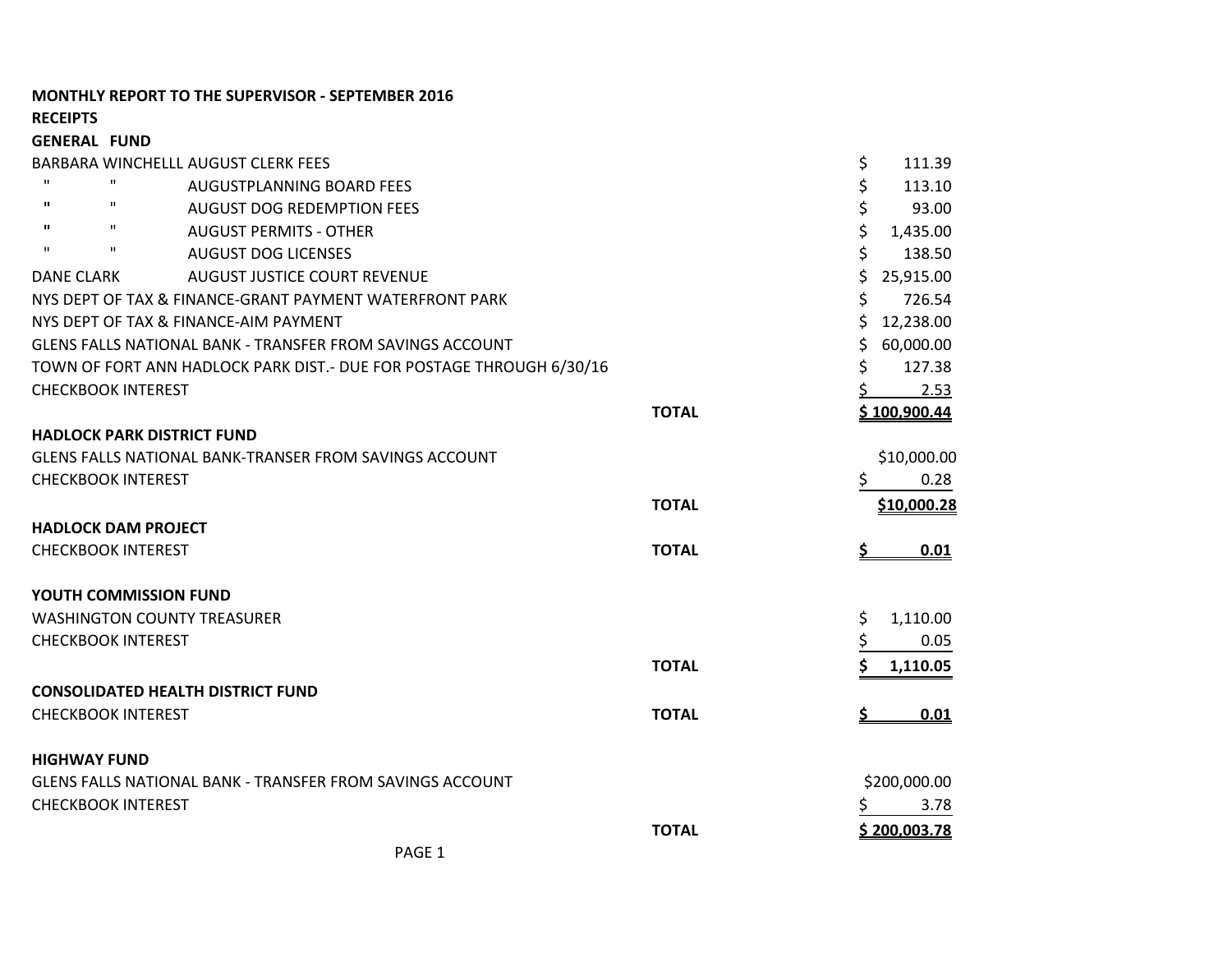# **MONTHLY REPORT TO THE SUPERVISOR - SEPTEMBER 2016**

**RECEIPTS**

| <b>GENERAL FUND</b> |                                                                      |              |    |                    |
|---------------------|----------------------------------------------------------------------|--------------|----|--------------------|
|                     | BARBARA WINCHELLL AUGUST CLERK FEES                                  |              | \$ | 111.39             |
| $\mathbf{H}$        | $\mathbf H$<br><b>AUGUSTPLANNING BOARD FEES</b>                      |              | \$ | 113.10             |
| $\mathbf{u}$        | $\mathbf H$<br><b>AUGUST DOG REDEMPTION FEES</b>                     |              | \$ | 93.00              |
| п.                  | п<br><b>AUGUST PERMITS - OTHER</b>                                   |              | \$ | 1,435.00           |
| $\mathbf{H}$        | $\mathbf H$<br><b>AUGUST DOG LICENSES</b>                            |              | \$ | 138.50             |
| <b>DANE CLARK</b>   | <b>AUGUST JUSTICE COURT REVENUE</b>                                  |              | \$ | 25,915.00          |
|                     | NYS DEPT OF TAX & FINANCE-GRANT PAYMENT WATERFRONT PARK              |              | \$ | 726.54             |
|                     | NYS DEPT OF TAX & FINANCE-AIM PAYMENT                                |              | Ś  | 12,238.00          |
|                     | <b>GLENS FALLS NATIONAL BANK - TRANSFER FROM SAVINGS ACCOUNT</b>     |              | \$ | 60,000.00          |
|                     | TOWN OF FORT ANN HADLOCK PARK DIST.- DUE FOR POSTAGE THROUGH 6/30/16 |              | \$ | 127.38             |
|                     | <b>CHECKBOOK INTEREST</b>                                            |              |    | 2.53               |
|                     |                                                                      | <b>TOTAL</b> |    | \$100,900.44       |
|                     | <b>HADLOCK PARK DISTRICT FUND</b>                                    |              |    |                    |
|                     | <b>GLENS FALLS NATIONAL BANK-TRANSER FROM SAVINGS ACCOUNT</b>        |              |    | \$10,000.00        |
|                     | <b>CHECKBOOK INTEREST</b>                                            |              | \$ | 0.28               |
|                     |                                                                      | <b>TOTAL</b> |    | <u>\$10,000.28</u> |
|                     | <b>HADLOCK DAM PROJECT</b>                                           |              |    |                    |
|                     | <b>CHECKBOOK INTEREST</b>                                            | <b>TOTAL</b> |    | 0.01               |
|                     |                                                                      |              |    |                    |
|                     | <b>YOUTH COMMISSION FUND</b>                                         |              |    |                    |
|                     | <b>WASHINGTON COUNTY TREASURER</b>                                   |              | \$ | 1,110.00           |
|                     | <b>CHECKBOOK INTEREST</b>                                            |              | \$ | 0.05               |
|                     |                                                                      | <b>TOTAL</b> |    | 1,110.05           |
|                     | <b>CONSOLIDATED HEALTH DISTRICT FUND</b>                             |              |    |                    |
|                     | <b>CHECKBOOK INTEREST</b>                                            | <b>TOTAL</b> |    | 0.01               |
|                     |                                                                      |              |    |                    |
| <b>HIGHWAY FUND</b> |                                                                      |              |    |                    |
|                     | GLENS FALLS NATIONAL BANK - TRANSFER FROM SAVINGS ACCOUNT            |              |    | \$200,000.00       |
|                     | <b>CHECKBOOK INTEREST</b>                                            |              |    | 3.78               |
|                     |                                                                      | <b>TOTAL</b> |    | \$200,003.78       |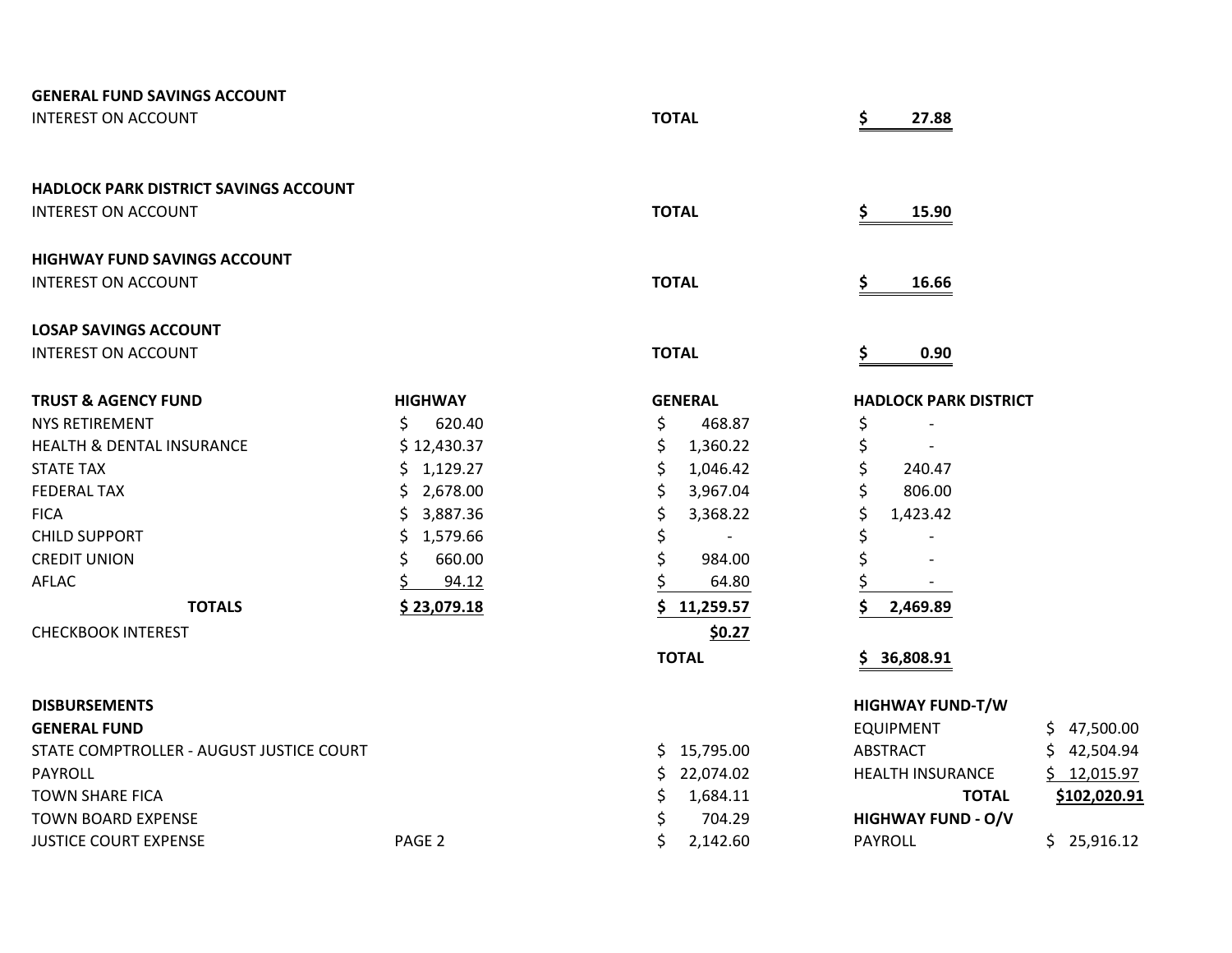| <b>GENERAL FUND SAVINGS ACCOUNT</b>          |                   |                  |                                        |
|----------------------------------------------|-------------------|------------------|----------------------------------------|
| <b>INTEREST ON ACCOUNT</b>                   |                   | <b>TOTAL</b>     | \$<br>27.88                            |
|                                              |                   |                  |                                        |
| <b>HADLOCK PARK DISTRICT SAVINGS ACCOUNT</b> |                   |                  |                                        |
| <b>INTEREST ON ACCOUNT</b>                   |                   | <b>TOTAL</b>     | \$<br>15.90                            |
| <b>HIGHWAY FUND SAVINGS ACCOUNT</b>          |                   |                  |                                        |
| <b>INTEREST ON ACCOUNT</b>                   |                   | <b>TOTAL</b>     | \$<br>16.66                            |
| <b>LOSAP SAVINGS ACCOUNT</b>                 |                   |                  |                                        |
| <b>INTEREST ON ACCOUNT</b>                   |                   | <b>TOTAL</b>     | \$<br>0.90                             |
| <b>TRUST &amp; AGENCY FUND</b>               | <b>HIGHWAY</b>    | <b>GENERAL</b>   | <b>HADLOCK PARK DISTRICT</b>           |
| <b>NYS RETIREMENT</b>                        | \$<br>620.40      | \$<br>468.87     | \$                                     |
| <b>HEALTH &amp; DENTAL INSURANCE</b>         | \$12,430.37       | \$<br>1,360.22   | \$                                     |
| <b>STATE TAX</b>                             | \$1,129.27        | \$<br>1,046.42   | \$<br>240.47                           |
| <b>FEDERAL TAX</b>                           | \$2,678.00        | \$<br>3,967.04   | \$<br>806.00                           |
| <b>FICA</b>                                  | \$.<br>3,887.36   | \$<br>3,368.22   | \$<br>1,423.42                         |
| <b>CHILD SUPPORT</b>                         | \$.<br>1,579.66   | \$               | \$                                     |
| <b>CREDIT UNION</b>                          | \$<br>660.00      | Ś<br>984.00      | \$                                     |
| AFLAC                                        | 94.12             | 64.80            | \$                                     |
| <b>TOTALS</b>                                | \$23,079.18       | 11,259.57        | 2,469.89                               |
| <b>CHECKBOOK INTEREST</b>                    |                   | \$0.27           |                                        |
|                                              |                   | <b>TOTAL</b>     | 36,808.91                              |
| <b>DISBURSEMENTS</b>                         |                   |                  | <b>HIGHWAY FUND-T/W</b>                |
| <b>GENERAL FUND</b>                          |                   |                  | <b>EQUIPMENT</b><br>\$47,500.00        |
| STATE COMPTROLLER - AUGUST JUSTICE COURT     |                   | \$15,795.00      | \$42,504.94<br><b>ABSTRACT</b>         |
| PAYROLL                                      |                   | \$.<br>22,074.02 | <b>HEALTH INSURANCE</b><br>\$12,015.97 |
| <b>TOWN SHARE FICA</b>                       |                   | 1,684.11<br>\$   | <b>TOTAL</b><br>\$102,020.91           |
| <b>TOWN BOARD EXPENSE</b>                    |                   | 704.29<br>\$     | <b>HIGHWAY FUND - O/V</b>              |
| <b>JUSTICE COURT EXPENSE</b>                 | PAGE <sub>2</sub> | \$<br>2,142.60   | <b>PAYROLL</b><br>\$25,916.12          |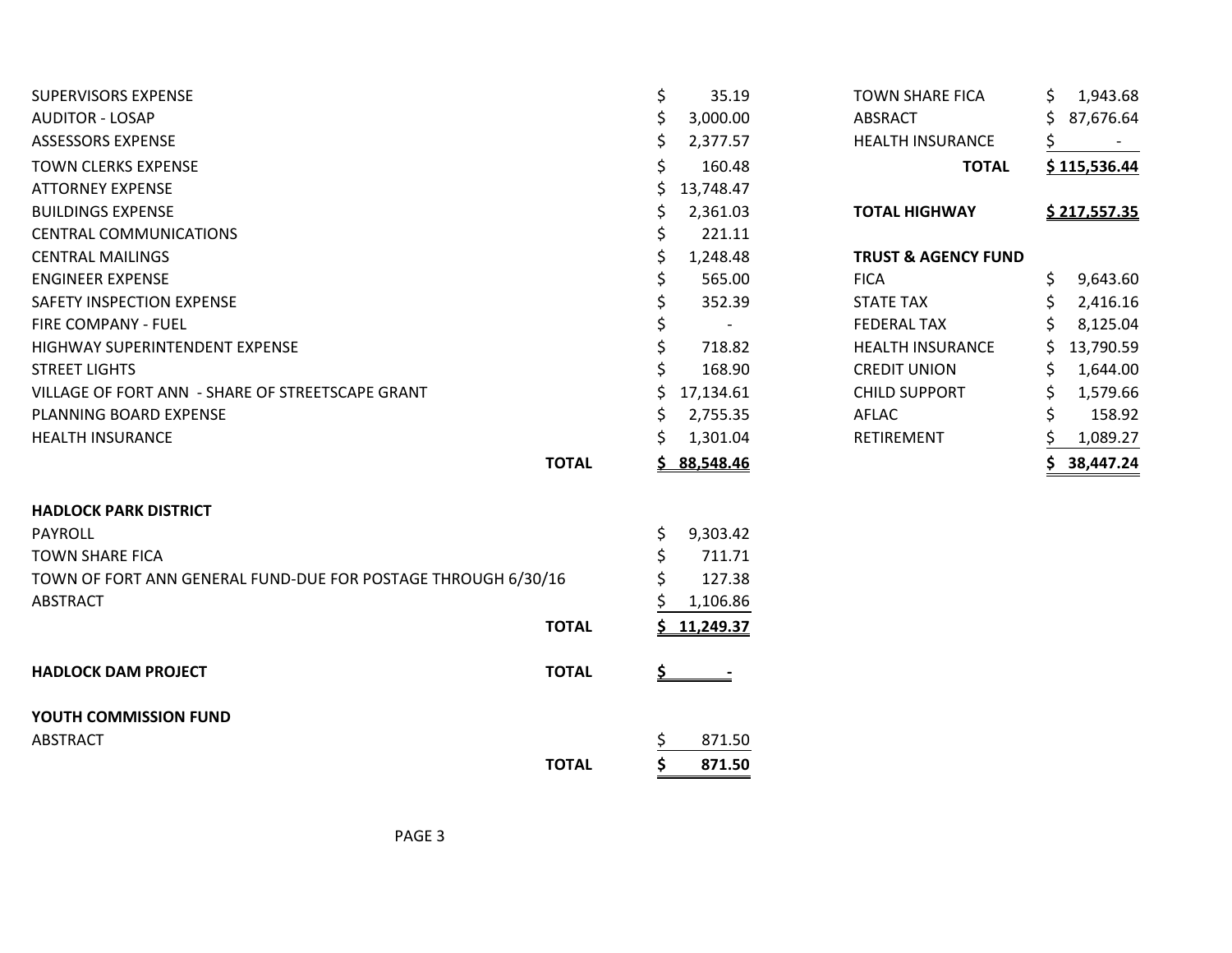| <b>SUPERVISORS EXPENSE</b><br><b>AUDITOR - LOSAP</b><br><b>ASSESSORS EXPENSE</b> |              | \$<br>\$<br>\$ | 35.19<br>3,000.00<br>2,377.57      | <b>TOWN SHARE FICA</b><br>ABSRACT<br><b>HEALTH INSURANCE</b> |              | S.<br>S  | 1,943.68<br>87,676.64 |
|----------------------------------------------------------------------------------|--------------|----------------|------------------------------------|--------------------------------------------------------------|--------------|----------|-----------------------|
| <b>TOWN CLERKS EXPENSE</b><br><b>ATTORNEY EXPENSE</b>                            |              | \$<br>Ś        | 160.48<br>13,748.47                |                                                              | <b>TOTAL</b> |          | \$115,536.44          |
| <b>BUILDINGS EXPENSE</b><br><b>CENTRAL COMMUNICATIONS</b>                        |              | \$<br>\$       | 2,361.03<br>221.11                 | <b>TOTAL HIGHWAY</b>                                         |              |          | <u>\$217,557.35</u>   |
| <b>CENTRAL MAILINGS</b><br><b>ENGINEER EXPENSE</b>                               |              | \$             | 1,248.48<br>565.00                 | <b>TRUST &amp; AGENCY FUND</b><br><b>FICA</b>                |              | \$       | 9,643.60              |
| SAFETY INSPECTION EXPENSE<br>FIRE COMPANY - FUEL                                 |              | \$             | 352.39<br>$\overline{\phantom{a}}$ | <b>STATE TAX</b><br><b>FEDERAL TAX</b>                       |              | \$       | 2,416.16<br>8,125.04  |
| HIGHWAY SUPERINTENDENT EXPENSE<br><b>STREET LIGHTS</b>                           |              |                | 718.82<br>168.90                   | <b>HEALTH INSURANCE</b><br><b>CREDIT UNION</b>               |              | S.<br>\$ | 13,790.59<br>1,644.00 |
| VILLAGE OF FORT ANN - SHARE OF STREETSCAPE GRANT<br>PLANNING BOARD EXPENSE       |              | S<br>\$        | 17,134.61<br>2,755.35              | <b>CHILD SUPPORT</b><br>AFLAC                                |              | \$<br>Ś  | 1,579.66<br>158.92    |
| <b>HEALTH INSURANCE</b>                                                          | <b>TOTAL</b> |                | 1,301.04<br><u>\$88,548.46</u>     | RETIREMENT                                                   |              |          | 1,089.27<br>38,447.24 |
| <b>HADLOCK PARK DISTRICT</b>                                                     |              |                |                                    |                                                              |              |          |                       |
| <b>PAYROLL</b><br><b>TOWN SHARE FICA</b>                                         |              | \$<br>\$       | 9,303.42<br>711.71                 |                                                              |              |          |                       |
| TOWN OF FORT ANN GENERAL FUND-DUE FOR POSTAGE THROUGH 6/30/16<br><b>ABSTRACT</b> |              |                | 127.38<br>1,106.86                 |                                                              |              |          |                       |
|                                                                                  | <b>TOTAL</b> |                | 11,249.37                          |                                                              |              |          |                       |
| <b>HADLOCK DAM PROJECT</b>                                                       | <b>TOTAL</b> | <u>\$_</u>     |                                    |                                                              |              |          |                       |
| YOUTH COMMISSION FUND<br><b>ABSTRACT</b>                                         |              | \$             | 871.50                             |                                                              |              |          |                       |
|                                                                                  | <b>TOTAL</b> | Ś.             | 871.50                             |                                                              |              |          |                       |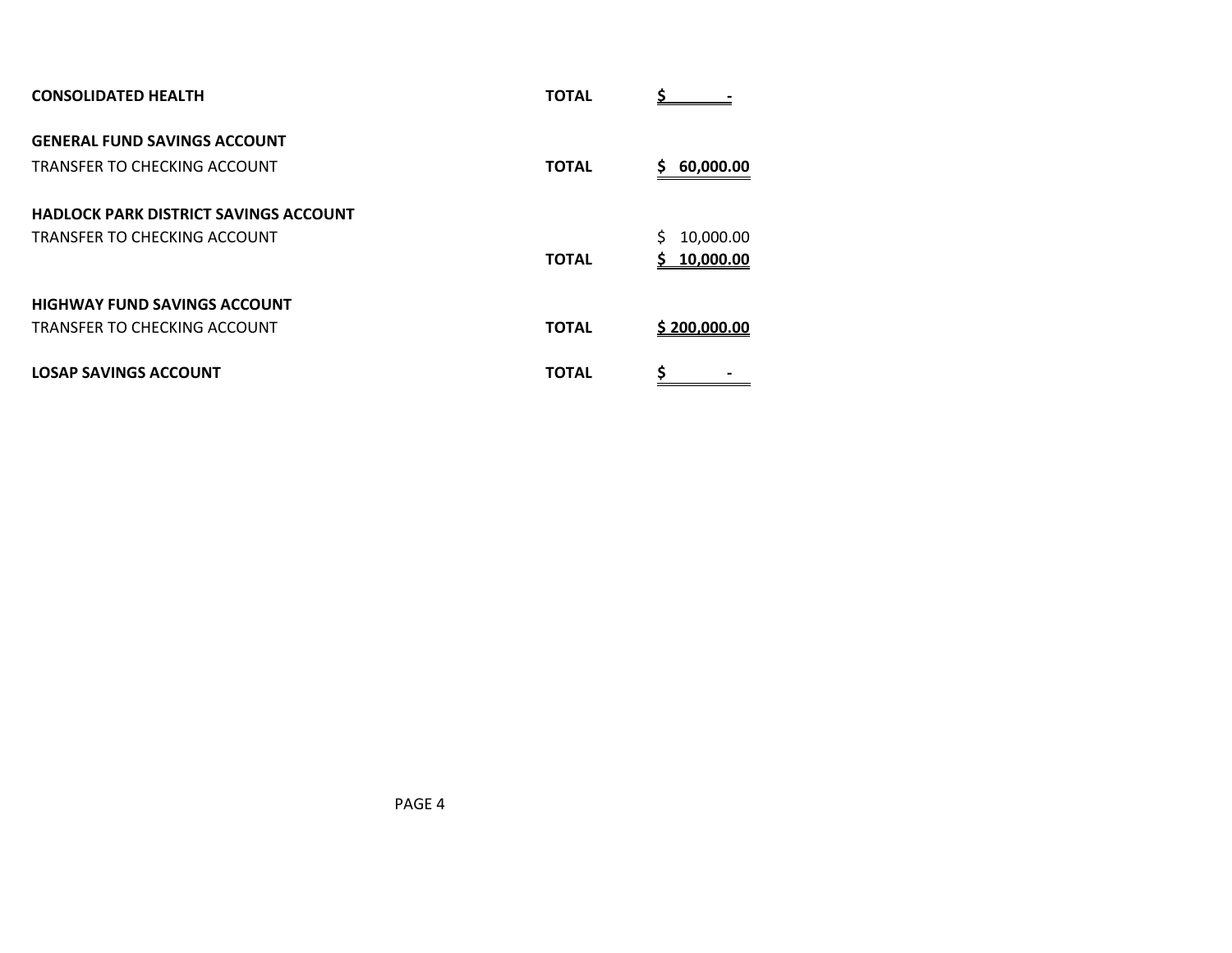| <b>CONSOLIDATED HEALTH</b>                   | <b>TOTAL</b> |                 |
|----------------------------------------------|--------------|-----------------|
| <b>GENERAL FUND SAVINGS ACCOUNT</b>          |              |                 |
| TRANSFER TO CHECKING ACCOUNT                 | <b>TOTAL</b> | 60,000.00<br>s  |
| <b>HADLOCK PARK DISTRICT SAVINGS ACCOUNT</b> |              |                 |
| TRANSFER TO CHECKING ACCOUNT                 |              | \$<br>10,000.00 |
|                                              | <b>TOTAL</b> | 10,000.00<br>S. |
| <b>HIGHWAY FUND SAVINGS ACCOUNT</b>          |              |                 |
| TRANSFER TO CHECKING ACCOUNT                 | <b>TOTAL</b> | \$200,000.00    |
| <b>LOSAP SAVINGS ACCOUNT</b>                 | <b>TOTAL</b> | \$              |